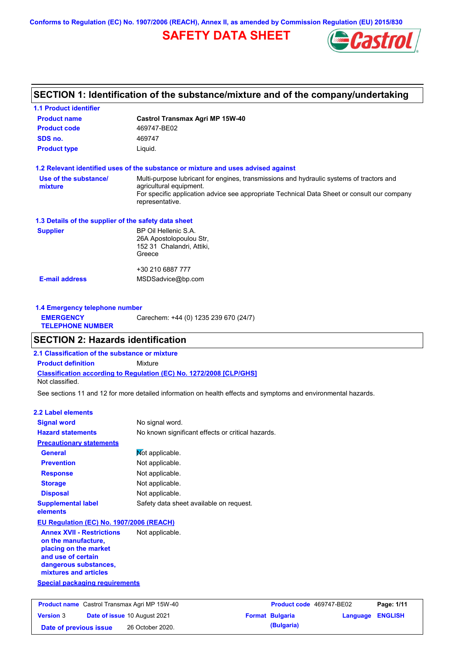**Conforms to Regulation (EC) No. 1907/2006 (REACH), Annex II, as amended by Commission Regulation (EU) 2015/830**

# **SAFETY DATA SHEET**



# **SECTION 1: Identification of the substance/mixture and of the company/undertaking**

| <b>1.1 Product identifier</b>                        |                                                                                                                                                                                                                                       |
|------------------------------------------------------|---------------------------------------------------------------------------------------------------------------------------------------------------------------------------------------------------------------------------------------|
| <b>Product name</b>                                  | Castrol Transmax Agri MP 15W-40                                                                                                                                                                                                       |
| <b>Product code</b>                                  | 469747-BE02                                                                                                                                                                                                                           |
| SDS no.                                              | 469747                                                                                                                                                                                                                                |
| <b>Product type</b>                                  | Liquid.                                                                                                                                                                                                                               |
|                                                      | 1.2 Relevant identified uses of the substance or mixture and uses advised against                                                                                                                                                     |
| Use of the substance/<br>mixture                     | Multi-purpose lubricant for engines, transmissions and hydraulic systems of tractors and<br>agricultural equipment.<br>For specific application advice see appropriate Technical Data Sheet or consult our company<br>representative. |
| 1.3 Details of the supplier of the safety data sheet |                                                                                                                                                                                                                                       |
| <b>Supplier</b>                                      | BP Oil Hellenic S.A.<br>26A Apostolopoulou Str,<br>152 31 Chalandri, Attiki,<br>Greece                                                                                                                                                |
|                                                      | +30 210 6887 777                                                                                                                                                                                                                      |
| <b>E-mail address</b>                                | MSDSadvice@bp.com                                                                                                                                                                                                                     |
|                                                      |                                                                                                                                                                                                                                       |
| 1.4 Emergency telephone number                       |                                                                                                                                                                                                                                       |
| <b>EMERGENCY</b><br><b>TELEPHONE NUMBER</b>          | Carechem: +44 (0) 1235 239 670 (24/7)                                                                                                                                                                                                 |
| <b>SECTION 2: Hazards identification</b>             |                                                                                                                                                                                                                                       |
| 2.1 Classification of the substance or mixture       |                                                                                                                                                                                                                                       |
| <b>Product definition</b>                            | Mixture                                                                                                                                                                                                                               |
| Not classified.                                      | Classification according to Regulation (EC) No. 1272/2008 [CLP/GHS]                                                                                                                                                                   |
|                                                      | See sections 11 and 12 for more detailed information on health effects and symptoms and environmental hazards.                                                                                                                        |
| 2.2 Label elements                                   |                                                                                                                                                                                                                                       |
| <b>Signal word</b>                                   | No signal word.                                                                                                                                                                                                                       |
| <b>Hazard statements</b>                             | No known significant effects or critical hazards.                                                                                                                                                                                     |
| <b>Precautionary statements</b>                      |                                                                                                                                                                                                                                       |
| <b>General</b>                                       | Mot applicable.                                                                                                                                                                                                                       |
| <b>Prevention</b>                                    | Not applicable.                                                                                                                                                                                                                       |
| <b>Response</b>                                      | Not applicable.                                                                                                                                                                                                                       |

**Storage Disposal** Not applicable. Not applicable. **Supplemental label elements** Safety data sheet available on request.

## **EU Regulation (EC) No. 1907/2006 (REACH)**

**Annex XVII - Restrictions on the manufacture, placing on the market and use of certain dangerous substances, mixtures and articles** Not applicable.

### **Special packaging requirements**

| <b>Product name</b> Castrol Transmax Agri MP 15W-40 |  | <b>Product code</b> 469747-BE02     |  | Page: 1/11             |  |                         |
|-----------------------------------------------------|--|-------------------------------------|--|------------------------|--|-------------------------|
| <b>Version 3</b>                                    |  | <b>Date of issue 10 August 2021</b> |  | <b>Format Bulgaria</b> |  | <b>Language ENGLISH</b> |
| Date of previous issue                              |  | 26 October 2020.                    |  | (Bulgaria)             |  |                         |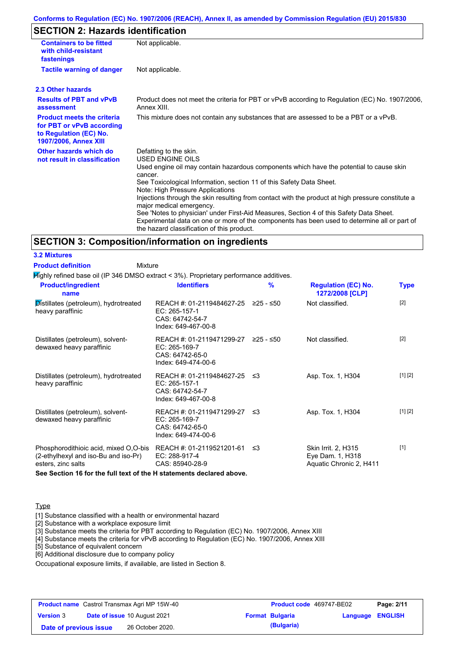#### **Conforms to Regulation (EC) No. 1907/2006 (REACH), Annex II, as amended by Commission Regulation (EU) 2015/830**

## **SECTION 2: Hazards identification**

| <b>Containers to be fitted</b><br>with child-resistant<br>fastenings                                                     | Not applicable.                                                                                                                                                                                                                                                                                                                                                                                                                                                                                                                                                                                                                        |
|--------------------------------------------------------------------------------------------------------------------------|----------------------------------------------------------------------------------------------------------------------------------------------------------------------------------------------------------------------------------------------------------------------------------------------------------------------------------------------------------------------------------------------------------------------------------------------------------------------------------------------------------------------------------------------------------------------------------------------------------------------------------------|
| <b>Tactile warning of danger</b>                                                                                         | Not applicable.                                                                                                                                                                                                                                                                                                                                                                                                                                                                                                                                                                                                                        |
| 2.3 Other hazards                                                                                                        |                                                                                                                                                                                                                                                                                                                                                                                                                                                                                                                                                                                                                                        |
| <b>Results of PBT and vPvB</b><br>assessment                                                                             | Product does not meet the criteria for PBT or vPvB according to Regulation (EC) No. 1907/2006,<br>Annex XIII.                                                                                                                                                                                                                                                                                                                                                                                                                                                                                                                          |
| <b>Product meets the criteria</b><br>for PBT or vPvB according<br>to Regulation (EC) No.<br><b>1907/2006, Annex XIII</b> | This mixture does not contain any substances that are assessed to be a PBT or a vPvB.                                                                                                                                                                                                                                                                                                                                                                                                                                                                                                                                                  |
| Other hazards which do<br>not result in classification                                                                   | Defatting to the skin.<br>USED ENGINE OILS<br>Used engine oil may contain hazardous components which have the potential to cause skin<br>cancer.<br>See Toxicological Information, section 11 of this Safety Data Sheet.<br>Note: High Pressure Applications<br>Injections through the skin resulting from contact with the product at high pressure constitute a<br>major medical emergency.<br>See 'Notes to physician' under First-Aid Measures, Section 4 of this Safety Data Sheet.<br>Experimental data on one or more of the components has been used to determine all or part of<br>the hazard classification of this product. |

### **SECTION 3: Composition/information on ingredients**

**3.2 Mixtures Product definition**

Mixture

Highly refined base oil (IP 346 DMSO extract < 3%). Proprietary performance additives.

| <b>Product/ingredient</b><br>name                                                                   | <b>Identifiers</b>                                                                             | $\%$      | <b>Regulation (EC) No.</b><br>1272/2008 [CLP]                      | <b>Type</b> |
|-----------------------------------------------------------------------------------------------------|------------------------------------------------------------------------------------------------|-----------|--------------------------------------------------------------------|-------------|
| Distillates (petroleum), hydrotreated<br>heavy paraffinic                                           | REACH #: 01-2119484627-25<br>EC: 265-157-1<br>CAS: 64742-54-7<br>Index: 649-467-00-8           | ≥25 - ≤50 | Not classified.                                                    | $[2]$       |
| Distillates (petroleum), solvent-<br>dewaxed heavy paraffinic                                       | REACH #: 01-2119471299-27 ≥25 - ≤50<br>EC: 265-169-7<br>CAS: 64742-65-0<br>Index: 649-474-00-6 |           | Not classified.                                                    | $[2]$       |
| Distillates (petroleum), hydrotreated<br>heavy paraffinic                                           | REACH #: 01-2119484627-25 ≤3<br>EC: 265-157-1<br>CAS: 64742-54-7<br>Index: 649-467-00-8        |           | Asp. Tox. 1, H304                                                  | [1] [2]     |
| Distillates (petroleum), solvent-<br>dewaxed heavy paraffinic                                       | REACH #: 01-2119471299-27 ≤3<br>EC: 265-169-7<br>CAS: 64742-65-0<br>Index: 649-474-00-6        |           | Asp. Tox. 1, H304                                                  | [1] [2]     |
| Phosphorodithioic acid, mixed O,O-bis<br>(2-ethylhexyl and iso-Bu and iso-Pr)<br>esters, zinc salts | REACH #: 01-2119521201-61 ≤3<br>EC: 288-917-4<br>CAS: 85940-28-9                               |           | Skin Irrit. 2, H315<br>Eye Dam. 1, H318<br>Aquatic Chronic 2, H411 | $[1]$       |

**See Section 16 for the full text of the H statements declared above.**

#### **Type**

[1] Substance classified with a health or environmental hazard

[2] Substance with a workplace exposure limit

[3] Substance meets the criteria for PBT according to Regulation (EC) No. 1907/2006, Annex XIII

[4] Substance meets the criteria for vPvB according to Regulation (EC) No. 1907/2006, Annex XIII

[5] Substance of equivalent concern

[6] Additional disclosure due to company policy

Occupational exposure limits, if available, are listed in Section 8.

|                        | <b>Product name</b> Castrol Transmax Agri MP 15W-40 | <b>Product code</b> 469747-BE02 |                         | Page: 2/11 |
|------------------------|-----------------------------------------------------|---------------------------------|-------------------------|------------|
| <b>Version 3</b>       | <b>Date of issue 10 August 2021</b>                 | <b>Format Bulgaria</b>          | <b>Language ENGLISH</b> |            |
| Date of previous issue | 26 October 2020.                                    | (Bulgaria)                      |                         |            |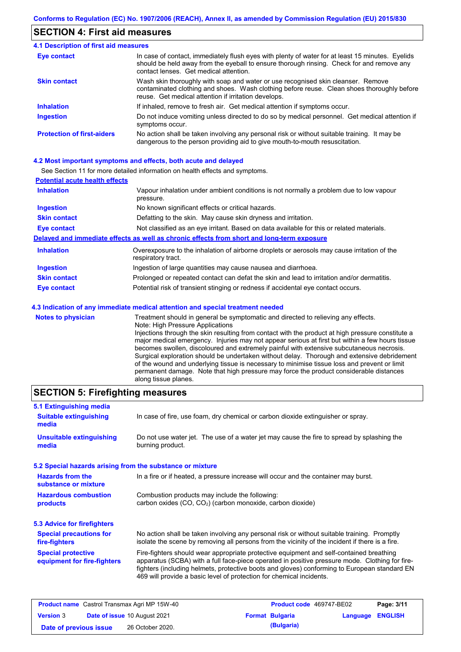## **SECTION 4: First aid measures**

#### Do not induce vomiting unless directed to do so by medical personnel. Get medical attention if symptoms occur. In case of contact, immediately flush eyes with plenty of water for at least 15 minutes. Eyelids should be held away from the eyeball to ensure thorough rinsing. Check for and remove any contact lenses. Get medical attention. **4.1 Description of first aid measures** If inhaled, remove to fresh air. Get medical attention if symptoms occur. **Ingestion Inhalation Eye contact Protection of first-aiders** No action shall be taken involving any personal risk or without suitable training. It may be dangerous to the person providing aid to give mouth-to-mouth resuscitation. **Skin contact** Wash skin thoroughly with soap and water or use recognised skin cleanser. Remove contaminated clothing and shoes. Wash clothing before reuse. Clean shoes thoroughly before reuse. Get medical attention if irritation develops.

#### **4.2 Most important symptoms and effects, both acute and delayed**

See Section 11 for more detailed information on health effects and symptoms.

| <b>Potential acute health effects</b> |                                                                                                                   |
|---------------------------------------|-------------------------------------------------------------------------------------------------------------------|
| <b>Inhalation</b>                     | Vapour inhalation under ambient conditions is not normally a problem due to low vapour<br>pressure.               |
| <b>Ingestion</b>                      | No known significant effects or critical hazards.                                                                 |
| <b>Skin contact</b>                   | Defatting to the skin. May cause skin dryness and irritation.                                                     |
| <b>Eye contact</b>                    | Not classified as an eye irritant. Based on data available for this or related materials.                         |
|                                       | Delayed and immediate effects as well as chronic effects from short and long-term exposure                        |
| <b>Inhalation</b>                     | Overexposure to the inhalation of airborne droplets or aerosols may cause irritation of the<br>respiratory tract. |
| <b>Ingestion</b>                      | Ingestion of large quantities may cause nausea and diarrhoea.                                                     |
| <b>Skin contact</b>                   | Prolonged or repeated contact can defat the skin and lead to irritation and/or dermatitis.                        |
| Eye contact                           | Potential risk of transient stinging or redness if accidental eye contact occurs.                                 |
|                                       | 4.3 Indication of any immediate medical attention and special treatment needed                                    |
| Notae to physician                    | Treatment should in general he symptomatic and directed to relieving any effects                                  |

**Notes to physician** Treatment should in general be symptomatic and directed to relieving any effects. Note: High Pressure Applications Injections through the skin resulting from contact with the product at high pressure constitute a major medical emergency. Injuries may not appear serious at first but within a few hours tissue becomes swollen, discoloured and extremely painful with extensive subcutaneous necrosis. Surgical exploration should be undertaken without delay. Thorough and extensive debridement of the wound and underlying tissue is necessary to minimise tissue loss and prevent or limit permanent damage. Note that high pressure may force the product considerable distances along tissue planes.

## **SECTION 5: Firefighting measures**

| 5.1 Extinguishing media                                   |                                                                                                                                                                                                                                                                                                                                                                   |
|-----------------------------------------------------------|-------------------------------------------------------------------------------------------------------------------------------------------------------------------------------------------------------------------------------------------------------------------------------------------------------------------------------------------------------------------|
| <b>Suitable extinguishing</b><br>media                    | In case of fire, use foam, dry chemical or carbon dioxide extinguisher or spray.                                                                                                                                                                                                                                                                                  |
| <b>Unsuitable extinguishing</b><br>media                  | Do not use water jet. The use of a water jet may cause the fire to spread by splashing the<br>burning product.                                                                                                                                                                                                                                                    |
| 5.2 Special hazards arising from the substance or mixture |                                                                                                                                                                                                                                                                                                                                                                   |
| <b>Hazards from the</b><br>substance or mixture           | In a fire or if heated, a pressure increase will occur and the container may burst.                                                                                                                                                                                                                                                                               |
| <b>Hazardous combustion</b><br>products                   | Combustion products may include the following:<br>carbon oxides (CO, CO <sub>2</sub> ) (carbon monoxide, carbon dioxide)                                                                                                                                                                                                                                          |
| 5.3 Advice for firefighters                               |                                                                                                                                                                                                                                                                                                                                                                   |
| <b>Special precautions for</b><br>fire-fighters           | No action shall be taken involving any personal risk or without suitable training. Promptly<br>isolate the scene by removing all persons from the vicinity of the incident if there is a fire.                                                                                                                                                                    |
| <b>Special protective</b><br>equipment for fire-fighters  | Fire-fighters should wear appropriate protective equipment and self-contained breathing<br>apparatus (SCBA) with a full face-piece operated in positive pressure mode. Clothing for fire-<br>fighters (including helmets, protective boots and gloves) conforming to European standard EN<br>469 will provide a basic level of protection for chemical incidents. |

| <b>Product name</b> Castrol Transmax Agri MP 15W-40 |  | <b>Product code</b> 469747-BE02     |  | Page: 3/11             |                         |  |
|-----------------------------------------------------|--|-------------------------------------|--|------------------------|-------------------------|--|
| <b>Version 3</b>                                    |  | <b>Date of issue 10 August 2021</b> |  | <b>Format Bulgaria</b> | <b>Language ENGLISH</b> |  |
| Date of previous issue                              |  | 26 October 2020.                    |  | (Bulgaria)             |                         |  |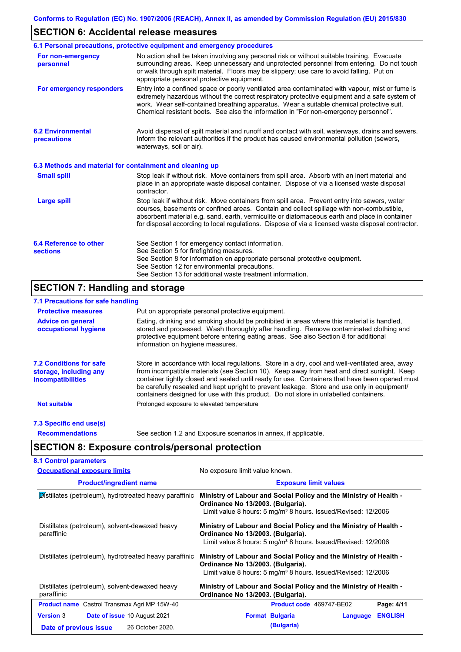## **SECTION 6: Accidental release measures**

|                                                          | 6.1 Personal precautions, protective equipment and emergency procedures                                                                                                                                                                                                                                                                                                                        |
|----------------------------------------------------------|------------------------------------------------------------------------------------------------------------------------------------------------------------------------------------------------------------------------------------------------------------------------------------------------------------------------------------------------------------------------------------------------|
| For non-emergency<br>personnel                           | No action shall be taken involving any personal risk or without suitable training. Evacuate<br>surrounding areas. Keep unnecessary and unprotected personnel from entering. Do not touch<br>or walk through spilt material. Floors may be slippery; use care to avoid falling. Put on<br>appropriate personal protective equipment.                                                            |
| For emergency responders                                 | Entry into a confined space or poorly ventilated area contaminated with vapour, mist or fume is<br>extremely hazardous without the correct respiratory protective equipment and a safe system of<br>work. Wear self-contained breathing apparatus. Wear a suitable chemical protective suit.<br>Chemical resistant boots. See also the information in "For non-emergency personnel".           |
| <b>6.2 Environmental</b><br>precautions                  | Avoid dispersal of spilt material and runoff and contact with soil, waterways, drains and sewers.<br>Inform the relevant authorities if the product has caused environmental pollution (sewers,<br>waterways, soil or air).                                                                                                                                                                    |
| 6.3 Methods and material for containment and cleaning up |                                                                                                                                                                                                                                                                                                                                                                                                |
| <b>Small spill</b>                                       | Stop leak if without risk. Move containers from spill area. Absorb with an inert material and<br>place in an appropriate waste disposal container. Dispose of via a licensed waste disposal<br>contractor.                                                                                                                                                                                     |
| <b>Large spill</b>                                       | Stop leak if without risk. Move containers from spill area. Prevent entry into sewers, water<br>courses, basements or confined areas. Contain and collect spillage with non-combustible,<br>absorbent material e.g. sand, earth, vermiculite or diatomaceous earth and place in container<br>for disposal according to local regulations. Dispose of via a licensed waste disposal contractor. |
| 6.4 Reference to other<br><b>sections</b>                | See Section 1 for emergency contact information.<br>See Section 5 for firefighting measures.<br>See Section 8 for information on appropriate personal protective equipment.<br>See Section 12 for environmental precautions.<br>See Section 13 for additional waste treatment information.                                                                                                     |

# **SECTION 7: Handling and storage**

## **7.1 Precautions for safe handling**

| <b>Protective measures</b>                                                           | Put on appropriate personal protective equipment.                                                                                                                                                                                                                                                                                                                                                                                                                                        |
|--------------------------------------------------------------------------------------|------------------------------------------------------------------------------------------------------------------------------------------------------------------------------------------------------------------------------------------------------------------------------------------------------------------------------------------------------------------------------------------------------------------------------------------------------------------------------------------|
| <b>Advice on general</b><br>occupational hygiene                                     | Eating, drinking and smoking should be prohibited in areas where this material is handled.<br>stored and processed. Wash thoroughly after handling. Remove contaminated clothing and<br>protective equipment before entering eating areas. See also Section 8 for additional<br>information on hygiene measures.                                                                                                                                                                         |
| <b>7.2 Conditions for safe</b><br>storage, including any<br><i>incompatibilities</i> | Store in accordance with local requlations. Store in a dry, cool and well-ventilated area, away<br>from incompatible materials (see Section 10). Keep away from heat and direct sunlight. Keep<br>container tightly closed and sealed until ready for use. Containers that have been opened must<br>be carefully resealed and kept upright to prevent leakage. Store and use only in equipment/<br>containers designed for use with this product. Do not store in unlabelled containers. |
| <b>Not suitable</b>                                                                  | Prolonged exposure to elevated temperature                                                                                                                                                                                                                                                                                                                                                                                                                                               |
| 7.3 Specific end use(s)                                                              |                                                                                                                                                                                                                                                                                                                                                                                                                                                                                          |
| <b>Recommendations</b>                                                               | See section 1.2 and Exposure scenarios in annex, if applicable.                                                                                                                                                                                                                                                                                                                                                                                                                          |

# **SECTION 8: Exposure controls/personal protection**

| <b>Occupational exposure limits</b>                          | No exposure limit value known.                                                                                                                                                      |  |  |  |
|--------------------------------------------------------------|-------------------------------------------------------------------------------------------------------------------------------------------------------------------------------------|--|--|--|
| <b>Product/ingredient name</b>                               | <b>Exposure limit values</b>                                                                                                                                                        |  |  |  |
| Distillates (petroleum), hydrotreated heavy paraffinic       | Ministry of Labour and Social Policy and the Ministry of Health -<br>Ordinance No 13/2003. (Bulgaria).<br>Limit value 8 hours: 5 mg/m <sup>3</sup> 8 hours. Issued/Revised: 12/2006 |  |  |  |
| Distillates (petroleum), solvent-dewaxed heavy<br>paraffinic | Ministry of Labour and Social Policy and the Ministry of Health -<br>Ordinance No 13/2003. (Bulgaria).<br>Limit value 8 hours: 5 mg/m <sup>3</sup> 8 hours. Issued/Revised: 12/2006 |  |  |  |
| Distillates (petroleum), hydrotreated heavy paraffinic       | Ministry of Labour and Social Policy and the Ministry of Health -<br>Ordinance No 13/2003. (Bulgaria).<br>Limit value 8 hours: 5 mg/m <sup>3</sup> 8 hours. Issued/Revised: 12/2006 |  |  |  |
| Distillates (petroleum), solvent-dewaxed heavy<br>paraffinic | Ministry of Labour and Social Policy and the Ministry of Health -<br>Ordinance No 13/2003. (Bulgaria).                                                                              |  |  |  |
| <b>Product name</b> Castrol Transmax Agri MP 15W-40          | Page: 4/11<br>Product code 469747-BE02                                                                                                                                              |  |  |  |
| Date of issue 10 August 2021<br><b>Version 3</b>             | <b>ENGLISH</b><br><b>Format Bulgaria</b><br>Language                                                                                                                                |  |  |  |
| 26 October 2020.<br>Date of previous issue                   | (Bulgaria)                                                                                                                                                                          |  |  |  |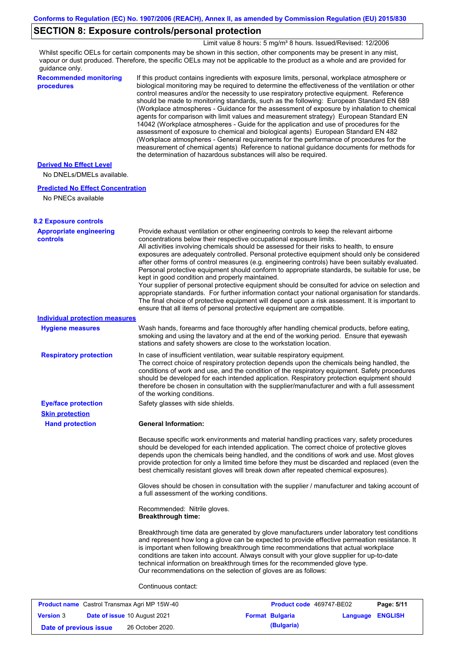## **SECTION 8: Exposure controls/personal protection**

Limit value 8 hours: 5 mg/m<sup>3</sup> 8 hours. Issued/Revised: 12/2006

Whilst specific OELs for certain components may be shown in this section, other components may be present in any mist, vapour or dust produced. Therefore, the specific OELs may not be applicable to the product as a whole and are provided for guidance only.

**Recommended monitoring procedures**

If this product contains ingredients with exposure limits, personal, workplace atmosphere or biological monitoring may be required to determine the effectiveness of the ventilation or other control measures and/or the necessity to use respiratory protective equipment. Reference should be made to monitoring standards, such as the following: European Standard EN 689 (Workplace atmospheres - Guidance for the assessment of exposure by inhalation to chemical agents for comparison with limit values and measurement strategy) European Standard EN 14042 (Workplace atmospheres - Guide for the application and use of procedures for the assessment of exposure to chemical and biological agents) European Standard EN 482 (Workplace atmospheres - General requirements for the performance of procedures for the measurement of chemical agents) Reference to national guidance documents for methods for the determination of hazardous substances will also be required.

### **Derived No Effect Level**

No DNELs/DMELs available.

#### **Predicted No Effect Concentration**

No PNECs available

| <b>8.2 Exposure controls</b>                      |                                                                                                                                                                                                                                                                                                                                                                                                                                                                                                                                                                                                                                                                                                                                                                                                                                                                                                                                                                                                         |
|---------------------------------------------------|---------------------------------------------------------------------------------------------------------------------------------------------------------------------------------------------------------------------------------------------------------------------------------------------------------------------------------------------------------------------------------------------------------------------------------------------------------------------------------------------------------------------------------------------------------------------------------------------------------------------------------------------------------------------------------------------------------------------------------------------------------------------------------------------------------------------------------------------------------------------------------------------------------------------------------------------------------------------------------------------------------|
| <b>Appropriate engineering</b><br><b>controls</b> | Provide exhaust ventilation or other engineering controls to keep the relevant airborne<br>concentrations below their respective occupational exposure limits.<br>All activities involving chemicals should be assessed for their risks to health, to ensure<br>exposures are adequately controlled. Personal protective equipment should only be considered<br>after other forms of control measures (e.g. engineering controls) have been suitably evaluated.<br>Personal protective equipment should conform to appropriate standards, be suitable for use, be<br>kept in good condition and properly maintained.<br>Your supplier of personal protective equipment should be consulted for advice on selection and<br>appropriate standards. For further information contact your national organisation for standards.<br>The final choice of protective equipment will depend upon a risk assessment. It is important to<br>ensure that all items of personal protective equipment are compatible. |
| <b>Individual protection measures</b>             |                                                                                                                                                                                                                                                                                                                                                                                                                                                                                                                                                                                                                                                                                                                                                                                                                                                                                                                                                                                                         |
| <b>Hygiene measures</b>                           | Wash hands, forearms and face thoroughly after handling chemical products, before eating,<br>smoking and using the lavatory and at the end of the working period. Ensure that eyewash<br>stations and safety showers are close to the workstation location.                                                                                                                                                                                                                                                                                                                                                                                                                                                                                                                                                                                                                                                                                                                                             |
| <b>Respiratory protection</b>                     | In case of insufficient ventilation, wear suitable respiratory equipment.<br>The correct choice of respiratory protection depends upon the chemicals being handled, the<br>conditions of work and use, and the condition of the respiratory equipment. Safety procedures<br>should be developed for each intended application. Respiratory protection equipment should<br>therefore be chosen in consultation with the supplier/manufacturer and with a full assessment<br>of the working conditions.                                                                                                                                                                                                                                                                                                                                                                                                                                                                                                   |
| <b>Eye/face protection</b>                        | Safety glasses with side shields.                                                                                                                                                                                                                                                                                                                                                                                                                                                                                                                                                                                                                                                                                                                                                                                                                                                                                                                                                                       |
| <b>Skin protection</b>                            |                                                                                                                                                                                                                                                                                                                                                                                                                                                                                                                                                                                                                                                                                                                                                                                                                                                                                                                                                                                                         |
| <b>Hand protection</b>                            | <b>General Information:</b>                                                                                                                                                                                                                                                                                                                                                                                                                                                                                                                                                                                                                                                                                                                                                                                                                                                                                                                                                                             |
|                                                   | Because specific work environments and material handling practices vary, safety procedures<br>should be developed for each intended application. The correct choice of protective gloves<br>depends upon the chemicals being handled, and the conditions of work and use. Most gloves<br>provide protection for only a limited time before they must be discarded and replaced (even the<br>best chemically resistant gloves will break down after repeated chemical exposures).                                                                                                                                                                                                                                                                                                                                                                                                                                                                                                                        |
|                                                   | Gloves should be chosen in consultation with the supplier / manufacturer and taking account of<br>a full assessment of the working conditions.                                                                                                                                                                                                                                                                                                                                                                                                                                                                                                                                                                                                                                                                                                                                                                                                                                                          |
|                                                   | Recommended: Nitrile gloves.<br><b>Breakthrough time:</b>                                                                                                                                                                                                                                                                                                                                                                                                                                                                                                                                                                                                                                                                                                                                                                                                                                                                                                                                               |
|                                                   | Breakthrough time data are generated by glove manufacturers under laboratory test conditions<br>and represent how long a glove can be expected to provide effective permeation resistance. It<br>is important when following breakthrough time recommendations that actual workplace<br>conditions are taken into account. Always consult with your glove supplier for up-to-date<br>technical information on breakthrough times for the recommended glove type.<br>Our recommendations on the selection of gloves are as follows:<br>Continuous contact:                                                                                                                                                                                                                                                                                                                                                                                                                                               |

| <b>Product name</b> Castrol Transmax Agri MP 15W-40 |  | Product code 469747-BE02            |  | Page: 5/11             |                         |  |
|-----------------------------------------------------|--|-------------------------------------|--|------------------------|-------------------------|--|
| <b>Version 3</b>                                    |  | <b>Date of issue 10 August 2021</b> |  | <b>Format Bulgaria</b> | <b>Language ENGLISH</b> |  |
| Date of previous issue                              |  | 26 October 2020.                    |  | (Bulgaria)             |                         |  |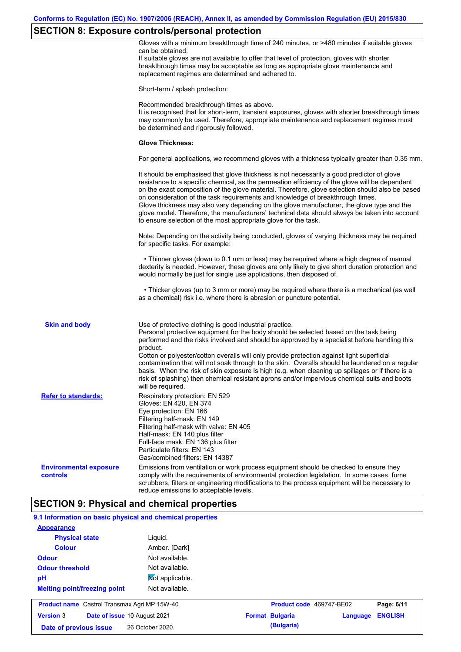# **SECTION 8: Exposure controls/personal protection**

|                                           | $\sim$                                                                                                                                                                                                                                                                                                                                                                                                                                                                                                                                                                                                                                                                                |
|-------------------------------------------|---------------------------------------------------------------------------------------------------------------------------------------------------------------------------------------------------------------------------------------------------------------------------------------------------------------------------------------------------------------------------------------------------------------------------------------------------------------------------------------------------------------------------------------------------------------------------------------------------------------------------------------------------------------------------------------|
|                                           | Gloves with a minimum breakthrough time of 240 minutes, or >480 minutes if suitable gloves<br>can be obtained.<br>If suitable gloves are not available to offer that level of protection, gloves with shorter<br>breakthrough times may be acceptable as long as appropriate glove maintenance and<br>replacement regimes are determined and adhered to.                                                                                                                                                                                                                                                                                                                              |
|                                           | Short-term / splash protection:                                                                                                                                                                                                                                                                                                                                                                                                                                                                                                                                                                                                                                                       |
|                                           | Recommended breakthrough times as above.<br>It is recognised that for short-term, transient exposures, gloves with shorter breakthrough times<br>may commonly be used. Therefore, appropriate maintenance and replacement regimes must<br>be determined and rigorously followed.                                                                                                                                                                                                                                                                                                                                                                                                      |
|                                           | <b>Glove Thickness:</b>                                                                                                                                                                                                                                                                                                                                                                                                                                                                                                                                                                                                                                                               |
|                                           | For general applications, we recommend gloves with a thickness typically greater than 0.35 mm.                                                                                                                                                                                                                                                                                                                                                                                                                                                                                                                                                                                        |
|                                           | It should be emphasised that glove thickness is not necessarily a good predictor of glove<br>resistance to a specific chemical, as the permeation efficiency of the glove will be dependent<br>on the exact composition of the glove material. Therefore, glove selection should also be based<br>on consideration of the task requirements and knowledge of breakthrough times.<br>Glove thickness may also vary depending on the glove manufacturer, the glove type and the<br>glove model. Therefore, the manufacturers' technical data should always be taken into account<br>to ensure selection of the most appropriate glove for the task.                                     |
|                                           | Note: Depending on the activity being conducted, gloves of varying thickness may be required<br>for specific tasks. For example:                                                                                                                                                                                                                                                                                                                                                                                                                                                                                                                                                      |
|                                           | • Thinner gloves (down to 0.1 mm or less) may be required where a high degree of manual<br>dexterity is needed. However, these gloves are only likely to give short duration protection and<br>would normally be just for single use applications, then disposed of.                                                                                                                                                                                                                                                                                                                                                                                                                  |
|                                           | • Thicker gloves (up to 3 mm or more) may be required where there is a mechanical (as well<br>as a chemical) risk i.e. where there is abrasion or puncture potential.                                                                                                                                                                                                                                                                                                                                                                                                                                                                                                                 |
| <b>Skin and body</b>                      | Use of protective clothing is good industrial practice.<br>Personal protective equipment for the body should be selected based on the task being<br>performed and the risks involved and should be approved by a specialist before handling this<br>product.<br>Cotton or polyester/cotton overalls will only provide protection against light superficial<br>contamination that will not soak through to the skin. Overalls should be laundered on a regular<br>basis. When the risk of skin exposure is high (e.g. when cleaning up spillages or if there is a<br>risk of splashing) then chemical resistant aprons and/or impervious chemical suits and boots<br>will be required. |
| <b>Refer to standards:</b>                | Respiratory protection: EN 529<br>Gloves: EN 420, EN 374<br>Eye protection: EN 166<br>Filtering half-mask: EN 149<br>Filtering half-mask with valve: EN 405<br>Half-mask: EN 140 plus filter<br>Full-face mask: EN 136 plus filter<br>Particulate filters: EN 143<br>Gas/combined filters: EN 14387                                                                                                                                                                                                                                                                                                                                                                                   |
| <b>Environmental exposure</b><br>controls | Emissions from ventilation or work process equipment should be checked to ensure they<br>comply with the requirements of environmental protection legislation. In some cases, fume<br>scrubbers, filters or engineering modifications to the process equipment will be necessary to<br>reduce emissions to acceptable levels.                                                                                                                                                                                                                                                                                                                                                         |
|                                           | <b>SECTION 9: Physical and chemical properties</b>                                                                                                                                                                                                                                                                                                                                                                                                                                                                                                                                                                                                                                    |
|                                           | 9.1 Information on basic physical and chemical properties                                                                                                                                                                                                                                                                                                                                                                                                                                                                                                                                                                                                                             |
| <b>Appearance</b>                         |                                                                                                                                                                                                                                                                                                                                                                                                                                                                                                                                                                                                                                                                                       |
| <b>Physical state</b>                     | Liquid.                                                                                                                                                                                                                                                                                                                                                                                                                                                                                                                                                                                                                                                                               |
| <b>Colour</b>                             | Amber. [Dark]                                                                                                                                                                                                                                                                                                                                                                                                                                                                                                                                                                                                                                                                         |
| <b>Odour</b>                              | Not available.                                                                                                                                                                                                                                                                                                                                                                                                                                                                                                                                                                                                                                                                        |
| <b>Odour threshold</b>                    | Not available.                                                                                                                                                                                                                                                                                                                                                                                                                                                                                                                                                                                                                                                                        |
| рH                                        | Not applicable.                                                                                                                                                                                                                                                                                                                                                                                                                                                                                                                                                                                                                                                                       |

| <b>Product name</b> Castrol Transmax Agri MP 15W-40 |                                     | <b>Product code</b> 469747-BE02 |  | Page: 6/11             |                         |  |
|-----------------------------------------------------|-------------------------------------|---------------------------------|--|------------------------|-------------------------|--|
| <b>Version 3</b>                                    | <b>Date of issue 10 August 2021</b> |                                 |  | <b>Format Bulgaria</b> | <b>Language ENGLISH</b> |  |
| Date of previous issue                              |                                     | 26 October 2020.                |  | (Bulgaria)             |                         |  |

Not available.

**Melting point/freezing point**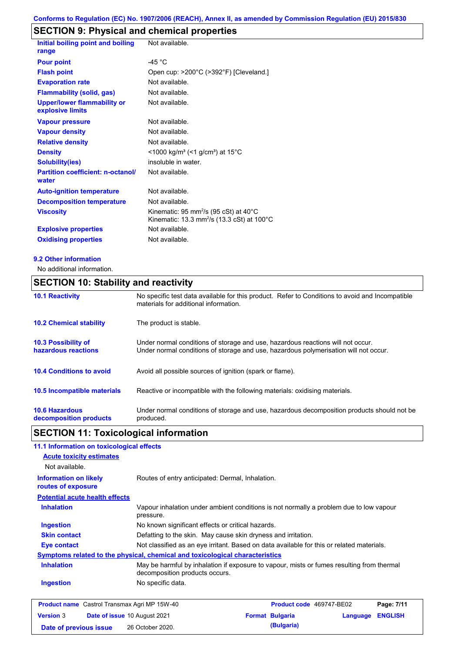# **SECTION 9: Physical and chemical properties**

| Initial boiling point and boiling<br>range             | Not available.                                                                                                                    |
|--------------------------------------------------------|-----------------------------------------------------------------------------------------------------------------------------------|
| <b>Pour point</b>                                      | -45 $^{\circ}$ C                                                                                                                  |
| <b>Flash point</b>                                     | Open cup: >200°C (>392°F) [Cleveland.]                                                                                            |
| <b>Evaporation rate</b>                                | Not available.                                                                                                                    |
| <b>Flammability (solid, gas)</b>                       | Not available.                                                                                                                    |
| <b>Upper/lower flammability or</b><br>explosive limits | Not available.                                                                                                                    |
| <b>Vapour pressure</b>                                 | Not available.                                                                                                                    |
| <b>Vapour density</b>                                  | Not available.                                                                                                                    |
| <b>Relative density</b>                                | Not available.                                                                                                                    |
| <b>Density</b>                                         | $<$ 1000 kg/m <sup>3</sup> (<1 g/cm <sup>3</sup> ) at 15 <sup>°</sup> C                                                           |
| <b>Solubility(ies)</b>                                 | insoluble in water.                                                                                                               |
| <b>Partition coefficient: n-octanol/</b><br>water      | Not available.                                                                                                                    |
| <b>Auto-ignition temperature</b>                       | Not available.                                                                                                                    |
| <b>Decomposition temperature</b>                       | Not available.                                                                                                                    |
| <b>Viscosity</b>                                       | Kinematic: 95 mm <sup>2</sup> /s (95 cSt) at 40 $^{\circ}$ C<br>Kinematic: 13.3 mm <sup>2</sup> /s (13.3 cSt) at 100 $^{\circ}$ C |
| <b>Explosive properties</b>                            | Not available.                                                                                                                    |
| <b>Oxidising properties</b>                            | Not available.                                                                                                                    |

#### **9.2 Other information**

No additional information.

## **SECTION 10: Stability and reactivity**

| <b>10.1 Reactivity</b>                            | No specific test data available for this product. Refer to Conditions to avoid and Incompatible<br>materials for additional information.                                |
|---------------------------------------------------|-------------------------------------------------------------------------------------------------------------------------------------------------------------------------|
| <b>10.2 Chemical stability</b>                    | The product is stable.                                                                                                                                                  |
| <b>10.3 Possibility of</b><br>hazardous reactions | Under normal conditions of storage and use, hazardous reactions will not occur.<br>Under normal conditions of storage and use, hazardous polymerisation will not occur. |
| <b>10.4 Conditions to avoid</b>                   | Avoid all possible sources of ignition (spark or flame).                                                                                                                |
| <b>10.5 Incompatible materials</b>                | Reactive or incompatible with the following materials: oxidising materials.                                                                                             |
| <b>10.6 Hazardous</b><br>decomposition products   | Under normal conditions of storage and use, hazardous decomposition products should not be<br>produced.                                                                 |

## **SECTION 11: Toxicological information**

## **11.1 Information on toxicological effects**

| 11.1 milomaalon on toxicological enects                                      |                                |                                                                                           |                          |          |                |
|------------------------------------------------------------------------------|--------------------------------|-------------------------------------------------------------------------------------------|--------------------------|----------|----------------|
| <b>Acute toxicity estimates</b>                                              |                                |                                                                                           |                          |          |                |
| Not available.                                                               |                                |                                                                                           |                          |          |                |
| <b>Information on likely</b><br>routes of exposure                           |                                | Routes of entry anticipated: Dermal, Inhalation.                                          |                          |          |                |
| <b>Potential acute health effects</b>                                        |                                |                                                                                           |                          |          |                |
| <b>Inhalation</b>                                                            | pressure.                      | Vapour inhalation under ambient conditions is not normally a problem due to low vapour    |                          |          |                |
| <b>Ingestion</b>                                                             |                                | No known significant effects or critical hazards.                                         |                          |          |                |
| <b>Skin contact</b>                                                          |                                | Defatting to the skin. May cause skin dryness and irritation.                             |                          |          |                |
| Eye contact                                                                  |                                | Not classified as an eye irritant. Based on data available for this or related materials. |                          |          |                |
| Symptoms related to the physical, chemical and toxicological characteristics |                                |                                                                                           |                          |          |                |
| <b>Inhalation</b>                                                            | decomposition products occurs. | May be harmful by inhalation if exposure to vapour, mists or fumes resulting from thermal |                          |          |                |
| <b>Ingestion</b>                                                             | No specific data.              |                                                                                           |                          |          |                |
| <b>Product name</b> Castrol Transmax Agri MP 15W-40                          |                                |                                                                                           | Product code 469747-BE02 |          | Page: 7/11     |
| <b>Version 3</b><br>Date of issue 10 August 2021                             |                                |                                                                                           | <b>Format Bulgaria</b>   | Language | <b>ENGLISH</b> |

**Date of previous issue (Bulgaria)** 26 October 2020.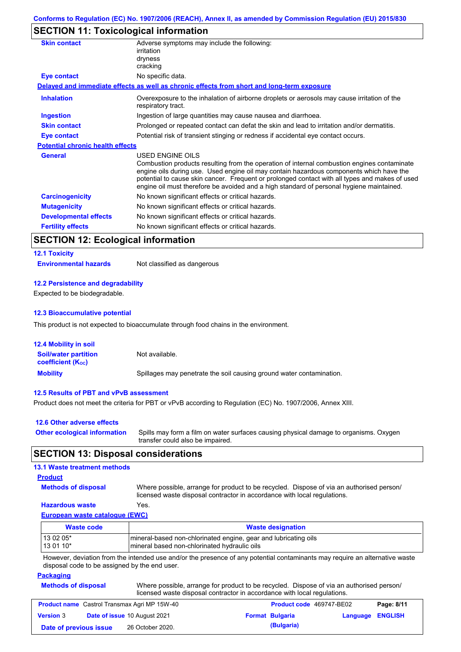## **SECTION 11: Toxicological information**

| <b>Skin contact</b>                     | Adverse symptoms may include the following:<br>irritation                                                                                                                                                                                                                                                                                                                                                       |
|-----------------------------------------|-----------------------------------------------------------------------------------------------------------------------------------------------------------------------------------------------------------------------------------------------------------------------------------------------------------------------------------------------------------------------------------------------------------------|
|                                         | dryness<br>cracking                                                                                                                                                                                                                                                                                                                                                                                             |
| <b>Eye contact</b>                      | No specific data.                                                                                                                                                                                                                                                                                                                                                                                               |
|                                         | Delayed and immediate effects as well as chronic effects from short and long-term exposure                                                                                                                                                                                                                                                                                                                      |
| <b>Inhalation</b>                       | Overexposure to the inhalation of airborne droplets or aerosols may cause irritation of the<br>respiratory tract.                                                                                                                                                                                                                                                                                               |
| <b>Ingestion</b>                        | Ingestion of large quantities may cause nausea and diarrhoea.                                                                                                                                                                                                                                                                                                                                                   |
| <b>Skin contact</b>                     | Prolonged or repeated contact can defat the skin and lead to irritation and/or dermatitis.                                                                                                                                                                                                                                                                                                                      |
| Eye contact                             | Potential risk of transient stinging or redness if accidental eye contact occurs.                                                                                                                                                                                                                                                                                                                               |
| <b>Potential chronic health effects</b> |                                                                                                                                                                                                                                                                                                                                                                                                                 |
| <b>General</b>                          | <b>USED ENGINE OILS</b><br>Combustion products resulting from the operation of internal combustion engines contaminate<br>engine oils during use. Used engine oil may contain hazardous components which have the<br>potential to cause skin cancer. Frequent or prolonged contact with all types and makes of used<br>engine oil must therefore be avoided and a high standard of personal hygiene maintained. |
| <b>Carcinogenicity</b>                  | No known significant effects or critical hazards.                                                                                                                                                                                                                                                                                                                                                               |
| <b>Mutagenicity</b>                     | No known significant effects or critical hazards.                                                                                                                                                                                                                                                                                                                                                               |
| <b>Developmental effects</b>            | No known significant effects or critical hazards.                                                                                                                                                                                                                                                                                                                                                               |
| <b>Fertility effects</b>                | No known significant effects or critical hazards.                                                                                                                                                                                                                                                                                                                                                               |

## **SECTION 12: Ecological information**

## **12.1 Toxicity Environmental hazards** Not classified as dangerous

#### **12.2 Persistence and degradability**

Expected to be biodegradable.

#### **12.3 Bioaccumulative potential**

This product is not expected to bioaccumulate through food chains in the environment.

| <b>12.4 Mobility in soil</b>                            |                                                                      |
|---------------------------------------------------------|----------------------------------------------------------------------|
| <b>Soil/water partition</b><br><b>coefficient (Koc)</b> | Not available.                                                       |
| <b>Mobility</b>                                         | Spillages may penetrate the soil causing ground water contamination. |

#### **12.5 Results of PBT and vPvB assessment**

Product does not meet the criteria for PBT or vPvB according to Regulation (EC) No. 1907/2006, Annex XIII.

| 12.6 Other adverse effects          |                                                                                                                           |
|-------------------------------------|---------------------------------------------------------------------------------------------------------------------------|
| <b>Other ecological information</b> | Spills may form a film on water surfaces causing physical damage to organisms. Oxygen<br>transfer could also be impaired. |

## **SECTION 13: Disposal considerations**

#### **13.1 Waste treatment methods**

#### **Product**

**Methods of disposal**

Where possible, arrange for product to be recycled. Dispose of via an authorised person/ licensed waste disposal contractor in accordance with local regulations.

#### **Hazardous waste** Yes.

**European waste catalogue (EWC)**

| Waste code | <b>Waste designation</b>                                         |
|------------|------------------------------------------------------------------|
| 13 02 05*  | Imineral-based non-chlorinated engine, gear and lubricating oils |
| $130110*$  | Imineral based non-chlorinated hydraulic oils                    |

However, deviation from the intended use and/or the presence of any potential contaminants may require an alternative waste disposal code to be assigned by the end user.

#### **Packaging Methods**

| of disposal | Where possible, arrange for product to be recycled. Dispose of via an authorised person/ |
|-------------|------------------------------------------------------------------------------------------|
|             | licensed waste disposal contractor in accordance with local regulations.                 |

| <b>Product name</b> Castrol Transmax Agri MP 15W-40 |  | <b>Product code</b> 469747-BE02     |  | Page: 8/11             |                  |  |
|-----------------------------------------------------|--|-------------------------------------|--|------------------------|------------------|--|
| <b>Version 3</b>                                    |  | <b>Date of issue 10 August 2021</b> |  | <b>Format Bulgaria</b> | Language ENGLISH |  |
| Date of previous issue                              |  | 26 October 2020.                    |  | (Bulgaria)             |                  |  |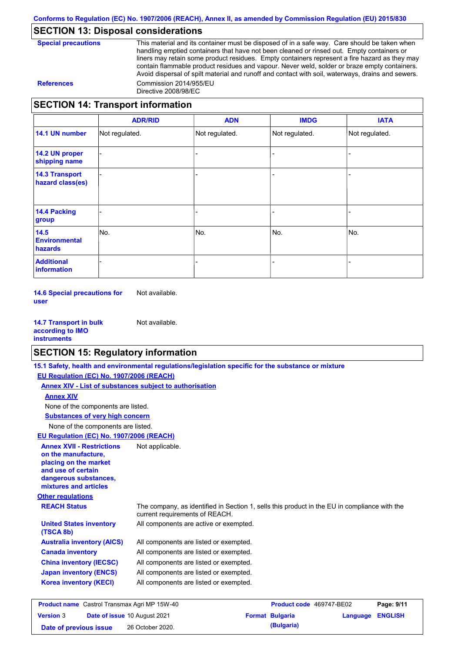## **SECTION 13: Disposal considerations**

| <b>Special precautions</b> |
|----------------------------|
|----------------------------|

This material and its container must be disposed of in a safe way. Care should be taken when handling emptied containers that have not been cleaned or rinsed out. Empty containers or liners may retain some product residues. Empty containers represent a fire hazard as they may contain flammable product residues and vapour. Never weld, solder or braze empty containers. Avoid dispersal of spilt material and runoff and contact with soil, waterways, drains and sewers. **References** Commission 2014/955/EU Directive 2008/98/EC

## **SECTION 14: Transport information**

|                                                | <b>ADR/RID</b> | <b>ADN</b>     | <b>IMDG</b>    | <b>IATA</b>    |
|------------------------------------------------|----------------|----------------|----------------|----------------|
| 14.1 UN number                                 | Not regulated. | Not regulated. | Not regulated. | Not regulated. |
| 14.2 UN proper<br>shipping name                |                |                |                |                |
| <b>14.3 Transport</b><br>hazard class(es)      |                |                |                |                |
| <b>14.4 Packing</b><br>group                   |                |                |                |                |
| 14.5<br><b>Environmental</b><br><b>hazards</b> | No.            | No.            | No.            | No.            |
| <b>Additional</b><br>information               |                |                |                |                |

**14.6 Special precautions for user** Not available.

**14.7 Transport in bulk according to IMO instruments** Not available.

## **SECTION 15: Regulatory information**

|                                                                                                                                                          | 15.1 Safety, health and environmental regulations/legislation specific for the substance or mixture                            |                          |          |                |  |
|----------------------------------------------------------------------------------------------------------------------------------------------------------|--------------------------------------------------------------------------------------------------------------------------------|--------------------------|----------|----------------|--|
| EU Regulation (EC) No. 1907/2006 (REACH)                                                                                                                 |                                                                                                                                |                          |          |                |  |
| <b>Annex XIV - List of substances subject to authorisation</b>                                                                                           |                                                                                                                                |                          |          |                |  |
| <b>Annex XIV</b>                                                                                                                                         |                                                                                                                                |                          |          |                |  |
| None of the components are listed.                                                                                                                       |                                                                                                                                |                          |          |                |  |
| <b>Substances of very high concern</b>                                                                                                                   |                                                                                                                                |                          |          |                |  |
| None of the components are listed.                                                                                                                       |                                                                                                                                |                          |          |                |  |
| EU Regulation (EC) No. 1907/2006 (REACH)                                                                                                                 |                                                                                                                                |                          |          |                |  |
| <b>Annex XVII - Restrictions</b><br>on the manufacture.<br>placing on the market<br>and use of certain<br>dangerous substances,<br>mixtures and articles | Not applicable.                                                                                                                |                          |          |                |  |
| <b>Other regulations</b>                                                                                                                                 |                                                                                                                                |                          |          |                |  |
| <b>REACH Status</b>                                                                                                                                      | The company, as identified in Section 1, sells this product in the EU in compliance with the<br>current requirements of REACH. |                          |          |                |  |
| <b>United States inventory</b><br>(TSCA 8b)                                                                                                              | All components are active or exempted.                                                                                         |                          |          |                |  |
| <b>Australia inventory (AICS)</b>                                                                                                                        | All components are listed or exempted.                                                                                         |                          |          |                |  |
| <b>Canada inventory</b>                                                                                                                                  | All components are listed or exempted.                                                                                         |                          |          |                |  |
| <b>China inventory (IECSC)</b>                                                                                                                           | All components are listed or exempted.                                                                                         |                          |          |                |  |
| <b>Japan inventory (ENCS)</b>                                                                                                                            | All components are listed or exempted.                                                                                         |                          |          |                |  |
| <b>Korea inventory (KECI)</b>                                                                                                                            | All components are listed or exempted.                                                                                         |                          |          |                |  |
| <b>Product name</b> Castrol Transmax Agri MP 15W-40                                                                                                      |                                                                                                                                | Product code 469747-BE02 |          | Page: 9/11     |  |
| Date of issue 10 August 2021<br><b>Version 3</b>                                                                                                         |                                                                                                                                | <b>Format Bulgaria</b>   | Language | <b>ENGLISH</b> |  |

**Date of previous issue (Bulgaria)** 26 October 2020.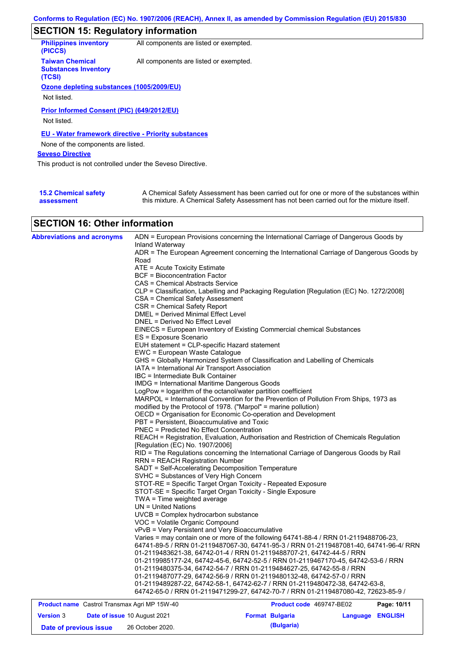# **SECTION 15: Regulatory information**

| <b>Philippines inventory</b><br>(PICCS)                         | All components are listed or exempted. |
|-----------------------------------------------------------------|----------------------------------------|
| <b>Taiwan Chemical</b><br><b>Substances Inventory</b><br>(TCSI) | All components are listed or exempted. |
| Ozone depleting substances (1005/2009/EU)                       |                                        |
|                                                                 |                                        |
| Not listed.                                                     |                                        |
| Prior Informed Consent (PIC) (649/2012/EU)<br>Not listed.       |                                        |
| <b>EU - Water framework directive - Priority substances</b>     |                                        |
| None of the components are listed.                              |                                        |
| <b>Seveso Directive</b>                                         |                                        |
| This product is not controlled under the Seveso Directive.      |                                        |
|                                                                 |                                        |
|                                                                 |                                        |

| <b>15.2 Chemical safety</b> | A Chemical Safety Assessment has been carried out for one or more of the substances within  |
|-----------------------------|---------------------------------------------------------------------------------------------|
| assessment                  | this mixture. A Chemical Safety Assessment has not been carried out for the mixture itself. |

## **SECTION 16: Other information**

| <b>Abbreviations and acronyms</b>                   | Inland Waterway                                                                          | ADN = European Provisions concerning the International Carriage of Dangerous Goods by    |             |  |  |  |
|-----------------------------------------------------|------------------------------------------------------------------------------------------|------------------------------------------------------------------------------------------|-------------|--|--|--|
|                                                     |                                                                                          | ADR = The European Agreement concerning the International Carriage of Dangerous Goods by |             |  |  |  |
|                                                     | Road                                                                                     |                                                                                          |             |  |  |  |
|                                                     | $ATE = Acute Toxicity Estimate$                                                          |                                                                                          |             |  |  |  |
|                                                     | BCF = Bioconcentration Factor                                                            |                                                                                          |             |  |  |  |
|                                                     | CAS = Chemical Abstracts Service                                                         |                                                                                          |             |  |  |  |
|                                                     | CLP = Classification, Labelling and Packaging Regulation [Regulation (EC) No. 1272/2008] |                                                                                          |             |  |  |  |
|                                                     | CSA = Chemical Safety Assessment                                                         |                                                                                          |             |  |  |  |
|                                                     | CSR = Chemical Safety Report                                                             |                                                                                          |             |  |  |  |
|                                                     | DMEL = Derived Minimal Effect Level                                                      |                                                                                          |             |  |  |  |
|                                                     | DNEL = Derived No Effect Level                                                           |                                                                                          |             |  |  |  |
|                                                     |                                                                                          | EINECS = European Inventory of Existing Commercial chemical Substances                   |             |  |  |  |
|                                                     | ES = Exposure Scenario                                                                   |                                                                                          |             |  |  |  |
|                                                     | EUH statement = CLP-specific Hazard statement                                            |                                                                                          |             |  |  |  |
|                                                     | EWC = European Waste Catalogue                                                           |                                                                                          |             |  |  |  |
|                                                     |                                                                                          | GHS = Globally Harmonized System of Classification and Labelling of Chemicals            |             |  |  |  |
|                                                     | IATA = International Air Transport Association                                           |                                                                                          |             |  |  |  |
|                                                     | IBC = Intermediate Bulk Container                                                        |                                                                                          |             |  |  |  |
|                                                     | <b>IMDG = International Maritime Dangerous Goods</b>                                     |                                                                                          |             |  |  |  |
|                                                     | LogPow = logarithm of the octanol/water partition coefficient                            |                                                                                          |             |  |  |  |
|                                                     |                                                                                          | MARPOL = International Convention for the Prevention of Pollution From Ships, 1973 as    |             |  |  |  |
|                                                     | modified by the Protocol of 1978. ("Marpol" = marine pollution)                          |                                                                                          |             |  |  |  |
|                                                     | OECD = Organisation for Economic Co-operation and Development                            |                                                                                          |             |  |  |  |
|                                                     | PBT = Persistent, Bioaccumulative and Toxic                                              |                                                                                          |             |  |  |  |
|                                                     | <b>PNEC = Predicted No Effect Concentration</b>                                          |                                                                                          |             |  |  |  |
|                                                     |                                                                                          | REACH = Registration, Evaluation, Authorisation and Restriction of Chemicals Regulation  |             |  |  |  |
|                                                     | [Regulation (EC) No. 1907/2006]                                                          |                                                                                          |             |  |  |  |
|                                                     |                                                                                          | RID = The Regulations concerning the International Carriage of Dangerous Goods by Rail   |             |  |  |  |
|                                                     | RRN = REACH Registration Number                                                          |                                                                                          |             |  |  |  |
|                                                     | SADT = Self-Accelerating Decomposition Temperature                                       |                                                                                          |             |  |  |  |
|                                                     | SVHC = Substances of Very High Concern                                                   |                                                                                          |             |  |  |  |
|                                                     | STOT-RE = Specific Target Organ Toxicity - Repeated Exposure                             |                                                                                          |             |  |  |  |
|                                                     | STOT-SE = Specific Target Organ Toxicity - Single Exposure                               |                                                                                          |             |  |  |  |
|                                                     | TWA = Time weighted average                                                              |                                                                                          |             |  |  |  |
|                                                     | UN = United Nations                                                                      |                                                                                          |             |  |  |  |
|                                                     | UVCB = Complex hydrocarbon substance                                                     |                                                                                          |             |  |  |  |
|                                                     | VOC = Volatile Organic Compound                                                          |                                                                                          |             |  |  |  |
|                                                     | vPvB = Very Persistent and Very Bioaccumulative                                          |                                                                                          |             |  |  |  |
|                                                     |                                                                                          | Varies = may contain one or more of the following 64741-88-4 / RRN 01-2119488706-23,     |             |  |  |  |
|                                                     |                                                                                          | 64741-89-5 / RRN 01-2119487067-30, 64741-95-3 / RRN 01-2119487081-40, 64741-96-4/ RRN    |             |  |  |  |
|                                                     |                                                                                          | 01-2119483621-38, 64742-01-4 / RRN 01-2119488707-21, 64742-44-5 / RRN                    |             |  |  |  |
|                                                     |                                                                                          | 01-2119985177-24, 64742-45-6, 64742-52-5 / RRN 01-2119467170-45, 64742-53-6 / RRN        |             |  |  |  |
|                                                     |                                                                                          | 01-2119480375-34, 64742-54-7 / RRN 01-2119484627-25, 64742-55-8 / RRN                    |             |  |  |  |
|                                                     |                                                                                          | 01-2119487077-29, 64742-56-9 / RRN 01-2119480132-48, 64742-57-0 / RRN                    |             |  |  |  |
|                                                     |                                                                                          | 01-2119489287-22, 64742-58-1, 64742-62-7 / RRN 01-2119480472-38, 64742-63-8,             |             |  |  |  |
|                                                     |                                                                                          | 64742-65-0 / RRN 01-2119471299-27, 64742-70-7 / RRN 01-2119487080-42, 72623-85-9 /       |             |  |  |  |
| <b>Product name</b> Castrol Transmax Agri MP 15W-40 |                                                                                          | Product code 469747-BE02                                                                 | Page: 10/11 |  |  |  |
|                                                     |                                                                                          |                                                                                          |             |  |  |  |

|                        | <b>Product name</b> Castrol Transmax Agri MP 15W-40 | <b>Product code</b> 469747-BE02 |                  | Page: 10/11 |
|------------------------|-----------------------------------------------------|---------------------------------|------------------|-------------|
| <b>Version 3</b>       | <b>Date of issue 10 August 2021</b>                 | <b>Format Bulgaria</b>          | Language ENGLISH |             |
| Date of previous issue | 26 October 2020.                                    | (Bulgaria)                      |                  |             |